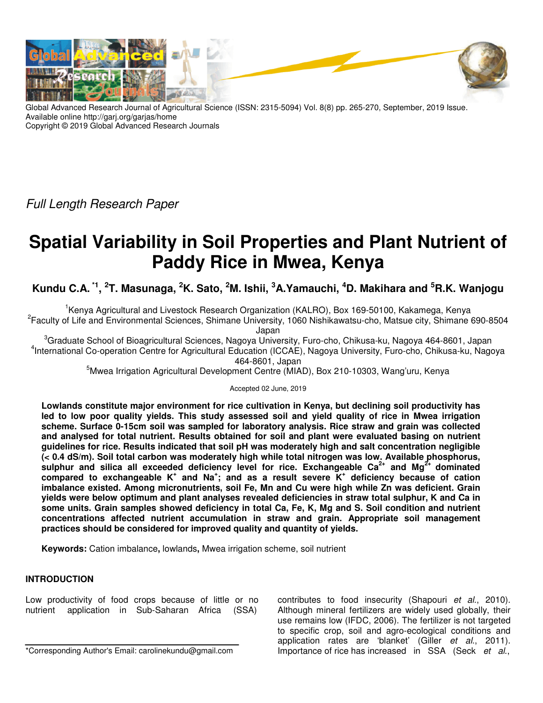

Global Advanced Research Journal of Agricultural Science (ISSN: 2315-5094) Vol. 8(8) pp. 265-270, September, 2019 Issue. Available online http://garj.org/garjas/home Copyright © 2019 Global Advanced Research Journals

Full Length Research Paper

# **Spatial Variability in Soil Properties and Plant Nutrient of Paddy Rice in Mwea, Kenya**

**Kundu C.A. \*1 , 2 T. Masunaga, <sup>2</sup>K. Sato, <sup>2</sup>M. Ishii, <sup>3</sup>A.Yamauchi, <sup>4</sup>D. Makihara and <sup>5</sup>R.K. Wanjogu** 

<sup>1</sup>Kenya Agricultural and Livestock Research Organization (KALRO), Box 169-50100, Kakamega, Kenya 2 Faculty of Life and Environmental Sciences, Shimane University, 1060 Nishikawatsu-cho, Matsue city, Shimane 690-8504

Japan

<sup>3</sup>Graduate School of Bioagricultural Sciences, Nagoya University, Furo-cho, Chikusa-ku, Nagoya 464-8601, Japan 4 International Co-operation Centre for Agricultural Education (ICCAE), Nagoya University, Furo-cho, Chikusa-ku, Nagoya 464-8601, Japan

<sup>5</sup>Mwea Irrigation Agricultural Development Centre (MIAD), Box 210-10303, Wang'uru, Kenya

Accepted 02 June, 2019

**Lowlands constitute major environment for rice cultivation in Kenya, but declining soil productivity has led to low poor quality yields. This study assessed soil and yield quality of rice in Mwea irrigation scheme. Surface 0-15cm soil was sampled for laboratory analysis. Rice straw and grain was collected and analysed for total nutrient. Results obtained for soil and plant were evaluated basing on nutrient guidelines for rice. Results indicated that soil pH was moderately high and salt concentration negligible (< 0.4 dS/m). Soil total carbon was moderately high while total nitrogen was low. Available phosphorus, sulphur and silica all exceeded deficiency level for rice. Exchangeable Ca2+ and Mg2+ dominated compared to exchangeable K<sup>+</sup> and Na<sup>+</sup> ; and as a result severe K<sup>+</sup> deficiency because of cation imbalance existed. Among micronutrients, soil Fe, Mn and Cu were high while Zn was deficient. Grain yields were below optimum and plant analyses revealed deficiencies in straw total sulphur, K and Ca in some units. Grain samples showed deficiency in total Ca, Fe, K, Mg and S. Soil condition and nutrient concentrations affected nutrient accumulation in straw and grain. Appropriate soil management practices should be considered for improved quality and quantity of yields.** 

**Keywords:** Cation imbalance**,** lowlands**,** Mwea irrigation scheme, soil nutrient

## **INTRODUCTION**

Low productivity of food crops because of little or no nutrient application in Sub-Saharan Africa (SSA)

\*Corresponding Author's Email: carolinekundu@gmail.com

contributes to food insecurity (Shapouri et al., 2010). Although mineral fertilizers are widely used globally, their use remains low (IFDC, 2006). The fertilizer is not targeted to specific crop, soil and agro-ecological conditions and application rates are 'blanket' (Giller et al., 2011). Importance of rice has increased in SSA (Seck et al.,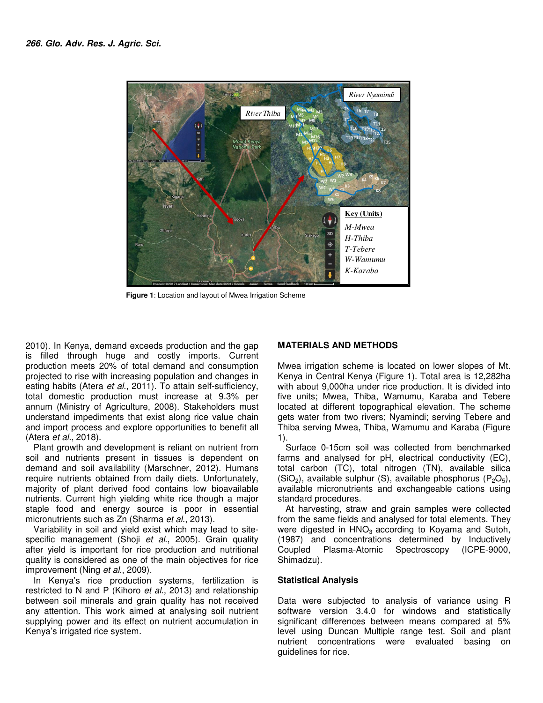

**Figure 1**: Location and layout of Mwea Irrigation Scheme  **Figure 1**: Location and layout of Mwea Irrigation Scheme

2010). In Kenya, demand exceeds production and the gap is filled through huge and costly imports. Current production meets 20% of total demand and consumption projected to rise with increasing population and changes in eating habits (Atera et al., 2011). To attain self-sufficiency, total domestic production must increase at 9.3% per annum (Ministry of Agriculture, 2008). Stakeholders must understand impediments that exist along rice value chain and import process and explore opportunities to benefit all (Atera et al., 2018).

Plant growth and development is reliant on nutrient from soil and nutrients present in tissues is dependent on demand and soil availability (Marschner, 2012). Humans require nutrients obtained from daily diets. Unfortunately, majority of plant derived food contains low bioavailable nutrients. Current high yielding white rice though a major staple food and energy source is poor in essential micronutrients such as Zn (Sharma et al., 2013).

Variability in soil and yield exist which may lead to sitespecific management (Shoji et al., 2005). Grain quality after yield is important for rice production and nutritional quality is considered as one of the main objectives for rice improvement (Ning et al., 2009).

In Kenya's rice production systems, fertilization is restricted to N and P (Kihoro et al., 2013) and relationship between soil minerals and grain quality has not received any attention. This work aimed at analysing soil nutrient supplying power and its effect on nutrient accumulation in Kenya's irrigated rice system.

### **MATERIALS AND METHODS**

Mwea irrigation scheme is located on lower slopes of Mt. Kenya in Central Kenya (Figure 1). Total area is 12,282ha with about 9,000ha under rice production. It is divided into five units; Mwea, Thiba, Wamumu, Karaba and Tebere located at different topographical elevation. The scheme gets water from two rivers; Nyamindi; serving Tebere and Thiba serving Mwea, Thiba, Wamumu and Karaba (Figure 1).

Surface 0-15cm soil was collected from benchmarked farms and analysed for pH, electrical conductivity (EC), total carbon (TC), total nitrogen (TN), available silica (SiO<sub>2</sub>), available sulphur (S), available phosphorus (P<sub>2</sub>O<sub>5</sub>), available micronutrients and exchangeable cations using standard procedures.

At harvesting, straw and grain samples were collected from the same fields and analysed for total elements. They were digested in  $HNO<sub>3</sub>$  according to Koyama and Sutoh, (1987) and concentrations determined by Inductively Coupled Plasma-Atomic Spectroscopy (ICPE-9000, Shimadzu).

## **Statistical Analysis**

Data were subjected to analysis of variance using R software version 3.4.0 for windows and statistically significant differences between means compared at 5% level using Duncan Multiple range test. Soil and plant nutrient concentrations were evaluated basing on guidelines for rice.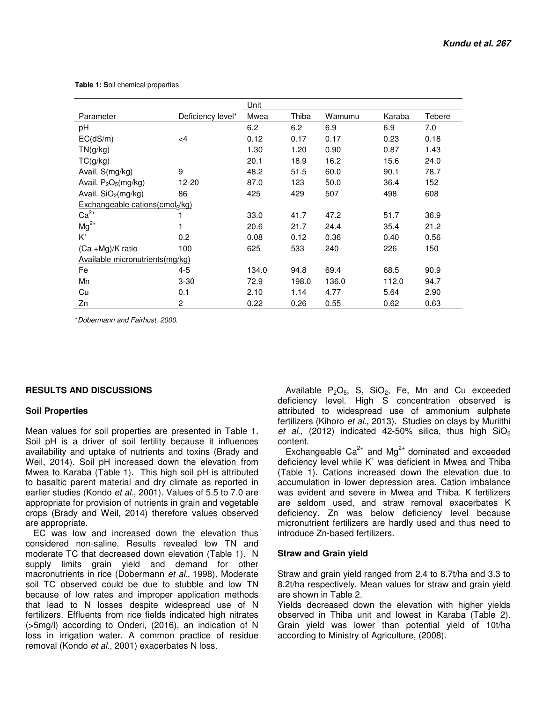**Table 1: S**oil chemical properties

|                                   |                   | Unit  |       |        |        |        |  |
|-----------------------------------|-------------------|-------|-------|--------|--------|--------|--|
| Parameter                         | Deficiency level* | Mwea  | Thiba | Wamumu | Karaba | Tebere |  |
| рH                                |                   | 6.2   | 6.2   | 6.9    | 6.9    | 7.0    |  |
| EC(dS/m)                          | $\leq$ 4          | 0.12  | 0.17  | 0.17   | 0.23   | 0.18   |  |
| TN(g/kg)                          |                   | 1.30  | 1.20  | 0.90   | 0.87   | 1.43   |  |
| TC(g/kg)                          |                   | 20.1  | 18.9  | 16.2   | 15.6   | 24.0   |  |
| Avail. S(mg/kg)                   | 9                 | 48.2  | 51.5  | 60.0   | 90.1   | 78.7   |  |
| Avail. $P_2O_5(mg/kg)$            | 12-20             | 87.0  | 123   | 50.0   | 36.4   | 152    |  |
| Avail. $SiO2(mg/kg)$              | 86                | 425   | 429   | 507    | 498    | 608    |  |
| Exchangeable cations $(cmolc/kg)$ |                   |       |       |        |        |        |  |
| $Ca2+$                            |                   | 33.0  | 41.7  | 47.2   | 51.7   | 36.9   |  |
| $Mg^{2+}$                         |                   | 20.6  | 21.7  | 24.4   | 35.4   | 21.2   |  |
| $K^+$                             | 0.2               | 0.08  | 0.12  | 0.36   | 0.40   | 0.56   |  |
| $(Ca + Mg)/K$ ratio               | 100               | 625   | 533   | 240    | 226    | 150    |  |
| Available micronutrients(mg/kg)   |                   |       |       |        |        |        |  |
| Fe                                | 4-5               | 134.0 | 94.8  | 69.4   | 68.5   | 90.9   |  |
| Mn                                | $3 - 30$          | 72.9  | 198.0 | 136.0  | 112.0  | 94.7   |  |
| Cu                                | 0.1               | 2.10  | 1.14  | 4.77   | 5.64   | 2.90   |  |
| Zn                                | 2                 | 0.22  | 0.26  | 0.55   | 0.62   | 0.63   |  |

\*Dobermann and Fairhust, 2000.

## **RESULTS AND DISCUSSIONS**

#### **Soil Properties**

Mean values for soil properties are presented in Table 1. Soil pH is a driver of soil fertility because it influences availability and uptake of nutrients and toxins (Brady and Weil, 2014). Soil pH increased down the elevation from Mwea to Karaba (Table 1). This high soil pH is attributed to basaltic parent material and dry climate as reported in earlier studies (Kondo et al., 2001). Values of 5.5 to 7.0 are appropriate for provision of nutrients in grain and vegetable crops (Brady and Weil, 2014) therefore values observed are appropriate.

EC was low and increased down the elevation thus considered non-saline. Results revealed low TN and moderate TC that decreased down elevation (Table 1). N supply limits grain yield and demand for other macronutrients in rice (Dobermann et al., 1998). Moderate soil TC observed could be due to stubble and low TN because of low rates and improper application methods that lead to N losses despite widespread use of N fertilizers. Effluents from rice fields indicated high nitrates (>5mg/l) according to Onderi, (2016), an indication of N loss in irrigation water. A common practice of residue removal (Kondo et al., 2001) exacerbates N loss.

Available  $P_2O_5$ , S, SiO<sub>2</sub>, Fe, Mn and Cu exceeded deficiency level. High S concentration observed is attributed to widespread use of ammonium sulphate fertilizers (Kihoro et al., 2013). Studies on clays by Muriithi et al., (2012) indicated 42-50% silica, thus high  $SiO<sub>2</sub>$ content.

Exchangeable  $Ca^{2+}$  and  $Mg^{2+}$  dominated and exceeded deficiency level while K<sup>+</sup> was deficient in Mwea and Thiba (Table 1). Cations increased down the elevation due to accumulation in lower depression area. Cation imbalance was evident and severe in Mwea and Thiba. K fertilizers are seldom used, and straw removal exacerbates K deficiency. Zn was below deficiency level because micronutrient fertilizers are hardly used and thus need to introduce Zn-based fertilizers.

### **Straw and Grain yield**

Straw and grain yield ranged from 2.4 to 8.7t/ha and 3.3 to 8.2t/ha respectively. Mean values for straw and grain yield are shown in Table 2.

Yields decreased down the elevation with higher yields observed in Thiba unit and lowest in Karaba (Table 2). Grain yield was lower than potential yield of 10t/ha according to Ministry of Agriculture, (2008).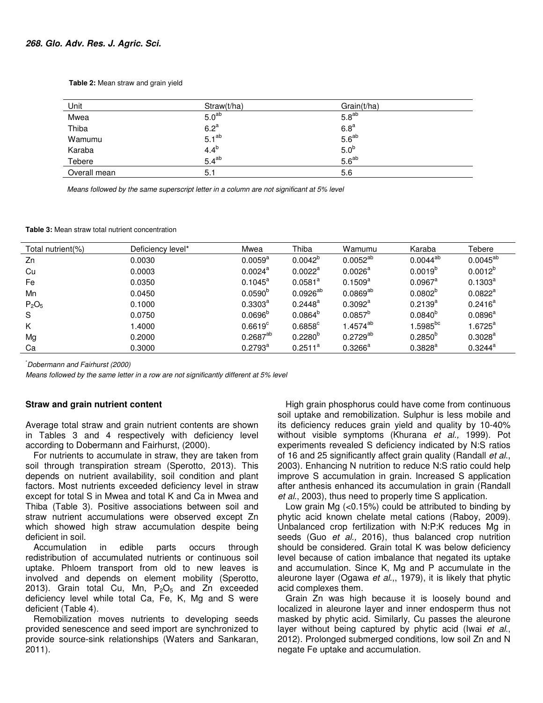**Table 2:** Mean straw and grain yield

| <u>Unit</u>  | Straw(t/ha)       | Grain(t/ha)       |  |
|--------------|-------------------|-------------------|--|
| Mwea         | 5.0 <sup>ab</sup> | 5.8 <sup>ab</sup> |  |
| Thiba        | 6.2 <sup>a</sup>  | 6.8 <sup>a</sup>  |  |
| Wamumu       | 5.1 <sup>ab</sup> | $5.6^{ab}$        |  |
| Karaba       | 4.4 <sup>b</sup>  | 5.0 <sup>b</sup>  |  |
| Tebere       | $5.4^{ab}$        | 5.6 <sup>ab</sup> |  |
| Overall mean | 5.1               | 5.6               |  |

Means followed by the same superscript letter in a column are not significant at 5% level

**Table 3:** Mean straw total nutrient concentration

| Total nutrient(%)             | Deficiency level* | Mwea                | Thiba               | Wamumu               | Karaba                | Tebere              |
|-------------------------------|-------------------|---------------------|---------------------|----------------------|-----------------------|---------------------|
| Zn                            | 0.0030            | $0.0059^{\rm a}$    | $0.0042^b$          | $0.0052^{ab}$        | $0.0044^{ab}$         | $0.0045^{ab}$       |
| Cu                            | 0.0003            | $0.0024^{\text{a}}$ | $0.0022^a$          | $0.0026^{\text{a}}$  | $0.0019^{b}$          | $0.0012^{b}$        |
| Fe                            | 0.0350            | $0.1045^{\text{a}}$ | $0.0581^a$          | $0.1509^{a}$         | $0.0967$ <sup>a</sup> | $0.1303^{\text{a}}$ |
| Mn                            | 0.0450            | 0.0590 <sup>b</sup> | $0.0926^{ab}$       | $0.0869^{ab}$        | $0.0802^{\circ}$      | $0.0822^a$          |
| P <sub>2</sub> O <sub>5</sub> | 0.1000            | $0.3303^{\circ}$    | $0.2448^{\text{a}}$ | $0.3092^a$           | $0.2139^{a}$          | $0.2416^a$          |
| <sub>S</sub>                  | 0.0750            | 0.0696 <sup>b</sup> | $0.0864^{b}$        | $0.0857^{b}$         | $0.0840^{b}$          | $0.0896^{\text{a}}$ |
| K                             | 1.4000            | $0.6619^c$          | $0.6858^{\circ}$    | 1.4574 <sup>ab</sup> | $1.5985^{bc}$         | $1.6725^a$          |
| Mg                            | 0.2000            | $0.2687^{ab}$       | $0.2280^{6}$        | $0.2729^{ab}$        | $0.2850^{b}$          | $0.3028^{\circ}$    |
| Ca                            | 0.3000            | $0.2793^{\text{a}}$ | $0.2511^a$          | $0.3266^{\text{a}}$  | $0.3828^{a}$          | $0.3244^{\circ}$    |

\*Dobermann and Fairhurst (2000)

Means followed by the same letter in a row are not significantly different at 5% level

#### **Straw and grain nutrient content**

Average total straw and grain nutrient contents are shown in Tables 3 and 4 respectively with deficiency level according to Dobermann and Fairhurst, (2000).

For nutrients to accumulate in straw, they are taken from soil through transpiration stream (Sperotto, 2013). This depends on nutrient availability, soil condition and plant factors. Most nutrients exceeded deficiency level in straw except for total S in Mwea and total K and Ca in Mwea and Thiba (Table 3). Positive associations between soil and straw nutrient accumulations were observed except Zn which showed high straw accumulation despite being deficient in soil.

Accumulation in edible parts occurs through redistribution of accumulated nutrients or continuous soil uptake. Phloem transport from old to new leaves is involved and depends on element mobility (Sperotto, 2013). Grain total Cu, Mn,  $P_2O_5$  and Zn exceeded deficiency level while total Ca, Fe, K, Mg and S were deficient (Table 4).

Remobilization moves nutrients to developing seeds provided senescence and seed import are synchronized to provide source-sink relationships (Waters and Sankaran, 2011).

High grain phosphorus could have come from continuous soil uptake and remobilization. Sulphur is less mobile and its deficiency reduces grain yield and quality by 10-40% without visible symptoms (Khurana et al., 1999). Pot experiments revealed S deficiency indicated by N:S ratios of 16 and 25 significantly affect grain quality (Randall et al., 2003). Enhancing N nutrition to reduce N:S ratio could help improve S accumulation in grain. Increased S application after anthesis enhanced its accumulation in grain (Randall et al., 2003), thus need to properly time S application.

Low grain Mg (<0.15%) could be attributed to binding by phytic acid known chelate metal cations (Raboy, 2009). Unbalanced crop fertilization with N:P:K reduces Mg in seeds (Guo et al., 2016), thus balanced crop nutrition should be considered. Grain total K was below deficiency level because of cation imbalance that negated its uptake and accumulation. Since K, Mg and P accumulate in the aleurone layer (Ogawa et al.,, 1979), it is likely that phytic acid complexes them.

Grain Zn was high because it is loosely bound and localized in aleurone layer and inner endosperm thus not masked by phytic acid. Similarly, Cu passes the aleurone layer without being captured by phytic acid (Iwai et al., 2012). Prolonged submerged conditions, low soil Zn and N negate Fe uptake and accumulation.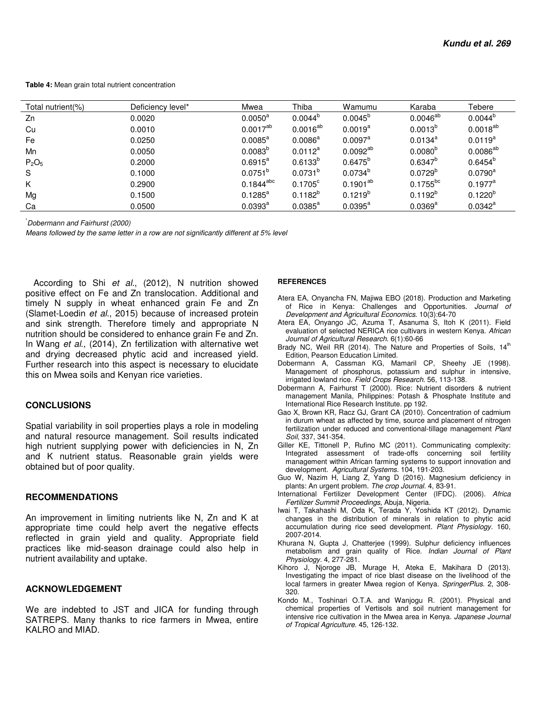**Table 4:** Mean grain total nutrient concentration

| Total nutrient(%)             | Deficiency level* | Mwea                | Thiba               | Wamumu                 | Karaba           | Tebere           |
|-------------------------------|-------------------|---------------------|---------------------|------------------------|------------------|------------------|
| Zn                            | 0.0020            | $0.0050^{\text{a}}$ | $0.0044^{b}$        | $0.0045^{b}$           | $0.0046^{ab}$    | $0.0044^{b}$     |
| Cu                            | 0.0010            | $0.0017^{ab}$       | $0.0016^{ab}$       | $0.0019^{a}$           | $0.0013^{b}$     | $0.0018^{ab}$    |
| Fe                            | 0.0250            | $0.0085^{\text{a}}$ | $0.0086^{\text{a}}$ | $0.0097^{\text{a}}$    | $0.0134^a$       | $0.0119^{a}$     |
| Mn                            | 0.0050            | $0.0083^{b}$        | $0.0112^a$          | $0.0092^{ab}$          | $0.0080^{b}$     | $0.0086^{ab}$    |
| P <sub>2</sub> O <sub>5</sub> | 0.2000            | $0.6915^a$          | $0.6133^{b}$        | $0.6475^{b}$           | $0.6347^{\circ}$ | $0.6454^{\circ}$ |
| S                             | 0.1000            | $0.0751^{b}$        | $0.0731^{b}$        | $0.0734^{b}$           | $0.0729^{b}$     | $0.0790^{\rm a}$ |
| K                             | 0.2900            | $0.1844^{abc}$      | $0.1705^{\circ}$    | $0.1901^{\mathrm{ab}}$ | $0.1755^{bc}$    | $0.1977^a$       |
| Mg                            | 0.1500            | $0.1285^{\text{a}}$ | $0.1182^{b}$        | $0.1219^{b}$           | $0.1192^{b}$     | $0.1220^{b}$     |
| Ca                            | 0.0500            | $0.0393^{\text{a}}$ | $0.0385^{\text{a}}$ | $0.0395^{\text{a}}$    | $0.0369^{\rm a}$ | $0.0342^a$       |

\*Dobermann and Fairhurst (2000)

Means followed by the same letter in a row are not significantly different at 5% level

According to Shi et al., (2012), N nutrition showed positive effect on Fe and Zn translocation. Additional and timely N supply in wheat enhanced grain Fe and Zn (Slamet-Loedin et al., 2015) because of increased protein and sink strength. Therefore timely and appropriate N nutrition should be considered to enhance grain Fe and Zn. In Wang et al., (2014), Zn fertilization with alternative wet and drying decreased phytic acid and increased yield. Further research into this aspect is necessary to elucidate this on Mwea soils and Kenyan rice varieties.

#### **CONCLUSIONS**

Spatial variability in soil properties plays a role in modeling and natural resource management. Soil results indicated high nutrient supplying power with deficiencies in N, Zn and K nutrient status. Reasonable grain yields were obtained but of poor quality.

### **RECOMMENDATIONS**

An improvement in limiting nutrients like N, Zn and K at appropriate time could help avert the negative effects reflected in grain yield and quality. Appropriate field practices like mid-season drainage could also help in nutrient availability and uptake.

## **ACKNOWLEDGEMENT**

We are indebted to JST and JICA for funding through SATREPS. Many thanks to rice farmers in Mwea, entire KALRO and MIAD.

#### **REFERENCES**

- Atera EA, Onyancha FN, Majiwa EBO (2018). Production and Marketing of Rice in Kenya: Challenges and Opportunities. Journal of Development and Agricultural Economics. 10(3):64-70
- Atera EA, Onyango JC, Azuma T, Asanuma S, Itoh K (2011). Field evaluation of selected NERICA rice cultivars in western Kenya. African Journal of Agricultural Research. 6(1):60-66
- Brady NC, Weil RR (2014). The Nature and Properties of Soils,  $14<sup>th</sup>$ Edition, Pearson Education Limited.
- Dobermann A, Cassman KG, Mamaril CP, Sheehy JE (1998). Management of phosphorus, potassium and sulphur in intensive, irrigated lowland rice. Field Crops Research. 56, 113-138.
- Dobermann A, Fairhurst T (2000). Rice: Nutrient disorders & nutrient management Manila, Philippines: Potash & Phosphate Institute and International Rice Research Institute. pp 192.
- Gao X, Brown KR, Racz GJ, Grant CA (2010). Concentration of cadmium in durum wheat as affected by time, source and placement of nitrogen fertilization under reduced and conventional-tillage management Plant Soil, 337, 341-354.
- Giller KE, Tittonell P, Rufino MC (2011). Communicating complexity: Integrated assessment of trade-offs concerning soil fertility management within African farming systems to support innovation and development. Agricultural Systems. 104, 191-203.
- Guo W, Nazim H, Liang Z, Yang D (2016). Magnesium deficiency in plants: An urgent problem. The crop Journal. 4, 83-91.
- International Fertilizer Development Center (IFDC). (2006). Africa Fertilizer Summit Proceedings, Abuja, Nigeria.
- Iwai T, Takahashi M, Oda K, Terada Y, Yoshida KT (2012). Dynamic changes in the distribution of minerals in relation to phytic acid accumulation during rice seed development. Plant Physiology. 160, 2007-2014.
- Khurana N, Gupta J, Chatterjee (1999). Sulphur deficiency influences metabolism and grain quality of Rice. Indian Journal of Plant Physiology. 4, 277-281.
- Kihoro J, Njoroge JB, Murage H, Ateka E, Makihara D (2013). Investigating the impact of rice blast disease on the livelihood of the local farmers in greater Mwea region of Kenya. SpringerPlus. 2, 308- 320.
- Kondo M., Toshinari O.T.A. and Wanjogu R. (2001). Physical and chemical properties of Vertisols and soil nutrient management for intensive rice cultivation in the Mwea area in Kenya. Japanese Journal of Tropical Agriculture. 45, 126-132.